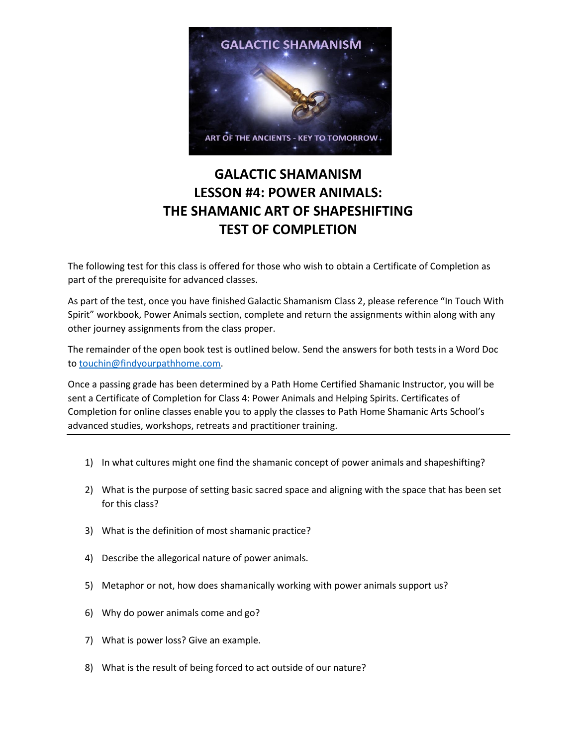

## **GALACTIC SHAMANISM LESSON #4: POWER ANIMALS: THE SHAMANIC ART OF SHAPESHIFTING TEST OF COMPLETION**

The following test for this class is offered for those who wish to obtain a Certificate of Completion as part of the prerequisite for advanced classes.

As part of the test, once you have finished Galactic Shamanism Class 2, please reference "In Touch With Spirit" workbook, Power Animals section, complete and return the assignments within along with any other journey assignments from the class proper.

The remainder of the open book test is outlined below. Send the answers for both tests in a Word Doc to [touchin@findyourpathhome.com.](mailto:touchin@findyourpathhome.com)

Once a passing grade has been determined by a Path Home Certified Shamanic Instructor, you will be sent a Certificate of Completion for Class 4: Power Animals and Helping Spirits. Certificates of Completion for online classes enable you to apply the classes to Path Home Shamanic Arts School's advanced studies, workshops, retreats and practitioner training.

- 1) In what cultures might one find the shamanic concept of power animals and shapeshifting?
- 2) What is the purpose of setting basic sacred space and aligning with the space that has been set for this class?
- 3) What is the definition of most shamanic practice?
- 4) Describe the allegorical nature of power animals.
- 5) Metaphor or not, how does shamanically working with power animals support us?
- 6) Why do power animals come and go?
- 7) What is power loss? Give an example.
- 8) What is the result of being forced to act outside of our nature?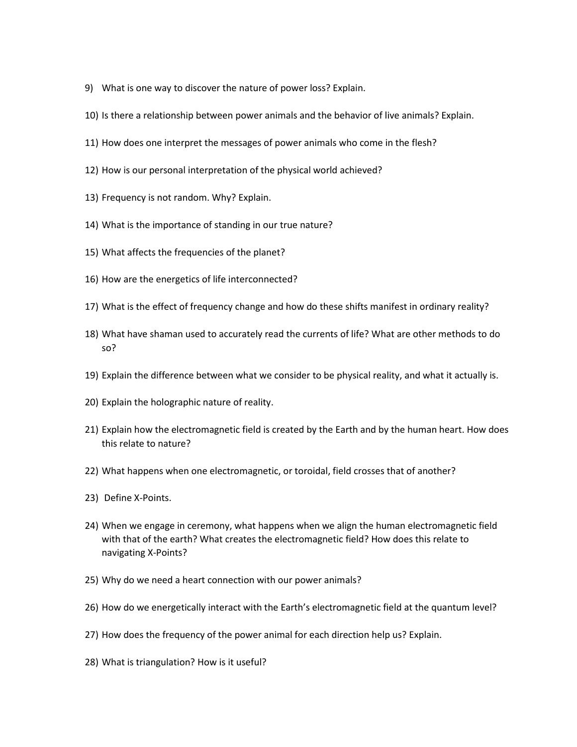- 9) What is one way to discover the nature of power loss? Explain.
- 10) Is there a relationship between power animals and the behavior of live animals? Explain.
- 11) How does one interpret the messages of power animals who come in the flesh?
- 12) How is our personal interpretation of the physical world achieved?
- 13) Frequency is not random. Why? Explain.
- 14) What is the importance of standing in our true nature?
- 15) What affects the frequencies of the planet?
- 16) How are the energetics of life interconnected?
- 17) What is the effect of frequency change and how do these shifts manifest in ordinary reality?
- 18) What have shaman used to accurately read the currents of life? What are other methods to do so?
- 19) Explain the difference between what we consider to be physical reality, and what it actually is.
- 20) Explain the holographic nature of reality.
- 21) Explain how the electromagnetic field is created by the Earth and by the human heart. How does this relate to nature?
- 22) What happens when one electromagnetic, or toroidal, field crosses that of another?
- 23) Define X-Points.
- 24) When we engage in ceremony, what happens when we align the human electromagnetic field with that of the earth? What creates the electromagnetic field? How does this relate to navigating X-Points?
- 25) Why do we need a heart connection with our power animals?
- 26) How do we energetically interact with the Earth's electromagnetic field at the quantum level?
- 27) How does the frequency of the power animal for each direction help us? Explain.
- 28) What is triangulation? How is it useful?